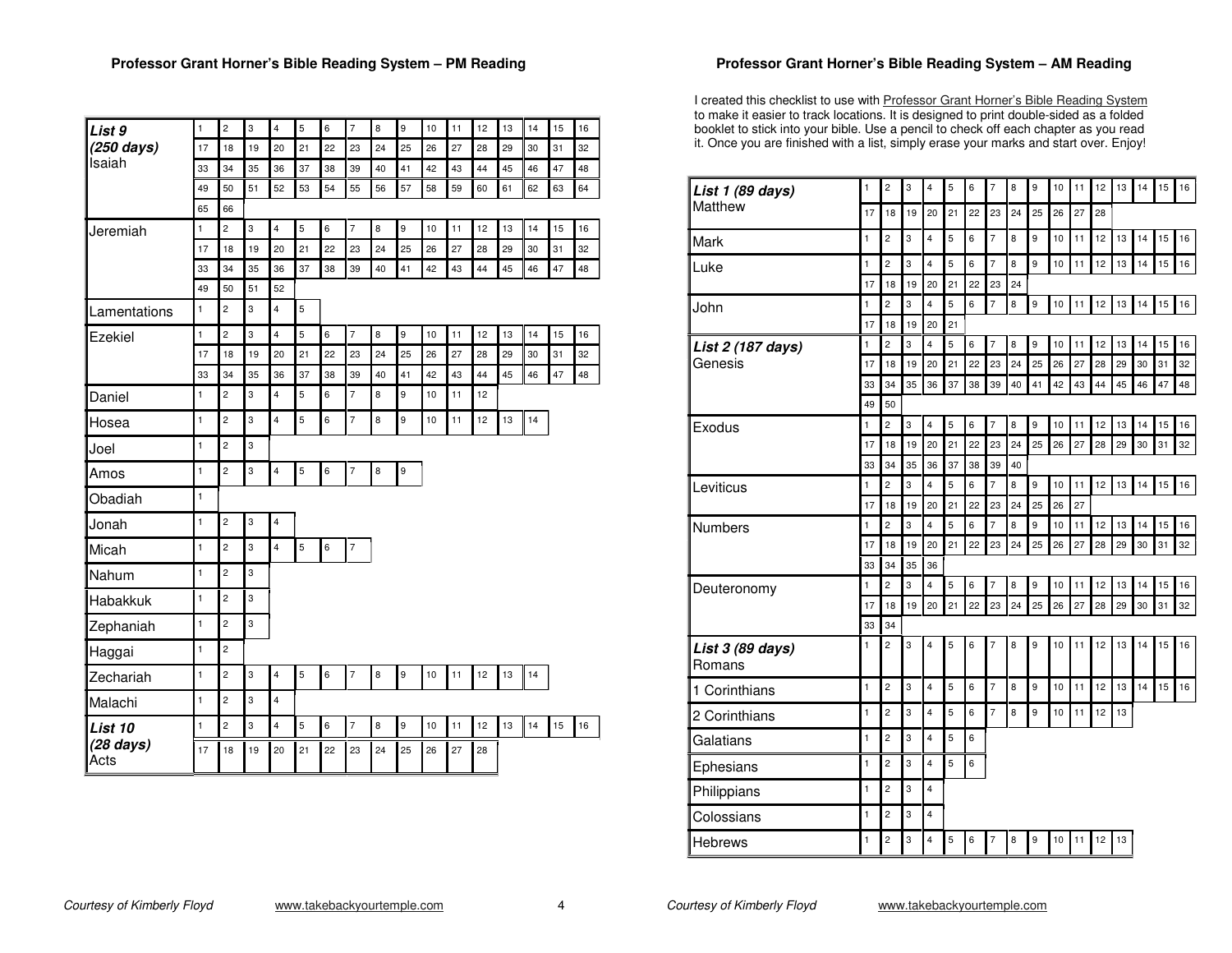| List 9            | $\mathbf{1}$       | $\overline{2}$       | 3       | $\overline{\mathbf{4}}$       | 5                | 6                | $\overline{7}$ | 8       | 9           | 10       | 11       | 12       | 13       | 14       | 15       | 16       |
|-------------------|--------------------|----------------------|---------|-------------------------------|------------------|------------------|----------------|---------|-------------|----------|----------|----------|----------|----------|----------|----------|
| (250 days)        | 17                 | 18                   | 19      | 20                            | 21               | 22               | 23             | 24      | 25          | 26       | 27       | 28       | 29       | 30       | 31       | 32       |
| Isaiah            | 33                 | 34                   | 35      | 36                            | 37               | 38               | 39             | 40      | 41          | 42       | 43       | 44       | 45       | 46       | 47       | 48       |
|                   | 49                 | 50                   | 51      | 52                            | 53               | 54               | 55             | 56      | 57          | 58       | 59       | 60       | 61       | 62       | 63       | 64       |
|                   | 65                 | 66                   |         |                               |                  |                  |                |         |             |          |          |          |          |          |          |          |
| Jeremiah          | $\mathbf{1}$<br>17 | $\overline{c}$<br>18 | 3<br>19 | $\overline{\mathbf{4}}$<br>20 | $\sqrt{5}$<br>21 | 6<br>22          | $\overline{7}$ | 8<br>24 | 9<br>25     | 10<br>26 | 11<br>27 | 12<br>28 | 13<br>29 | 14<br>30 | 15<br>31 | 16<br>32 |
|                   | 33                 | 34                   | 35      | 36                            | 37               | 38               | 23<br>39       | 40      | 41          | 42       | 43       | 44       | 45       | 46       | 47       | 48       |
|                   | 49                 | 50                   | 51      | 52                            |                  |                  |                |         |             |          |          |          |          |          |          |          |
| Lamentations      | $\mathbf{1}$       | $\overline{c}$       | 3       | $\overline{\mathbf{4}}$       | 5                |                  |                |         |             |          |          |          |          |          |          |          |
| Ezekiel           | $\mathbf{1}$       | $\overline{2}$       | 3       | 4                             | 5                | 6                | $\overline{7}$ | 8       | 9           | 10       | 11       | 12       | 13       | 14       | 15       | 16       |
|                   | 17                 | 18                   | 19      | 20                            | 21               | 22               | 23             | 24      | 25          | 26       | 27       | 28       | 29       | 30       | 31       | 32       |
|                   | 33                 | 34                   | 35      | 36                            | 37               | 38               | 39             | 40      | 41          | 42       | 43       | 44       | 45       | 46       | 47       | 48       |
| Daniel            | $\mathbf{1}$       | $\overline{c}$       | 3       | $\overline{\mathbf{4}}$       | 5                | 6                | $\overline{7}$ | 8       | 9           | $10$     | 11       | 12       |          |          |          |          |
| Hosea             | $\mathbf{1}$       | $\overline{2}$       | 3       | $\overline{\mathbf{4}}$       | 5                | 6                | $\overline{7}$ | 8       | 9           | 10       | 11       | 12       | 13       | 14       |          |          |
| Joel              | $\mathbf{1}$       | $\overline{c}$       | 3       |                               |                  |                  |                |         |             |          |          |          |          |          |          |          |
| Amos              | $\mathbf{1}$       | $\overline{2}$       | 3       | $\overline{\mathbf{4}}$       | $\sqrt{5}$       | 6                | $\overline{7}$ | 8       | $\mathsf g$ |          |          |          |          |          |          |          |
| Obadiah           | $\mathbf{1}$       |                      |         |                               |                  |                  |                |         |             |          |          |          |          |          |          |          |
| Jonah             | 1                  | $\overline{c}$       | 3       | 4                             |                  |                  |                |         |             |          |          |          |          |          |          |          |
| Micah             | $\mathbf{1}$       | $\overline{c}$       | 3       | $\overline{4}$                | 5                | $\boldsymbol{6}$ | $\overline{7}$ |         |             |          |          |          |          |          |          |          |
| Nahum             | $\mathbf{1}$       | $\overline{2}$       | 3       |                               |                  |                  |                |         |             |          |          |          |          |          |          |          |
| Habakkuk          | $\mathbf{1}$       | $\overline{2}$       | 3       |                               |                  |                  |                |         |             |          |          |          |          |          |          |          |
| Zephaniah         | $\mathbf{1}$       | $\overline{c}$       | 3       |                               |                  |                  |                |         |             |          |          |          |          |          |          |          |
| Haggai            | $\mathbf{1}$       | $\overline{2}$       |         |                               |                  |                  |                |         |             |          |          |          |          |          |          |          |
| Zechariah         | $\mathbf{1}$       | $\overline{2}$       | 3       | $\overline{\mathbf{4}}$       | 5                | 6                | $\overline{7}$ | 8       | 9           | 10       | 11       | 12       | 13       | 14       |          |          |
| Malachi           | $\mathbf{1}$       | $\overline{c}$       | 3       | $\overline{\mathbf{4}}$       |                  |                  |                |         |             |          |          |          |          |          |          |          |
| List 10           | $\mathbf{1}$       | $\overline{2}$       | 3       | $\overline{\mathbf{4}}$       | 5                | 6                | $\overline{7}$ | 8       | 9           | 10       | 11       | 12       | 13       | 14       | 15       | 16       |
| (28 days)<br>Acts | 17                 | 18                   | 19      | 20                            | 21               | 22               | 23             | 24      | 25          | 26       | 27       | 28       |          |          |          |          |

## **Professor Grant Horner's Bible Reading System – AM Reading**

I created this checklist to use with Professor Grant Horner's Bible Reading System to make it easier to track locations. It is designed to print double-sided as <sup>a</sup> folded booklet to stick into your bible. Use <sup>a</sup> pencil to check off each chapter as you read it. Once you are finished with <sup>a</sup> list, simply erase your marks and start over. Enjoy!

| List 1 (89 days)           | 1            | $\overline{c}$       | 3       | 4                             | 5       | 6       | $\overline{7}$       | 8       | 9       | 10       | 11       | 12 | 13 | 14 | 15 | 16       |
|----------------------------|--------------|----------------------|---------|-------------------------------|---------|---------|----------------------|---------|---------|----------|----------|----|----|----|----|----------|
| Matthew                    | 17           | 18                   | 19      | 20                            | 21      | 22      | 23                   | 24      | 25      | 26       | 27       | 28 |    |    |    |          |
| Mark                       | 1            | $\overline{c}$       | 3       | $\overline{\mathbf{4}}$       | 5       | 6       | $\overline{7}$       | 8       | 9       | 10       | 11       | 12 | 13 | 14 | 15 | 16       |
| Luke                       | 1            | $\overline{c}$       | 3       | $\overline{\mathbf{4}}$       | 5       | 6       | $\overline{7}$       | 8       | 9       | 10       | 11       | 12 | 13 | 14 | 15 | 16       |
|                            | 17           | 18                   | 19      | 20                            | 21      | 22      | 23                   | 24      |         |          |          |    |    |    |    |          |
| John                       | $\mathbf{1}$ | $\overline{c}$       | 3       | $\overline{\mathbf{4}}$       | 5       | 6       | $\overline{7}$       | 8       | 9       | 10       | 11       | 12 | 13 | 14 | 15 | 16       |
|                            | 17           | 18                   | 19      | 20                            | 21      |         |                      |         |         |          |          |    |    |    |    |          |
| List 2 (187 days)          | $\mathbf{1}$ | $\overline{c}$       | 3       | $\overline{4}$                | 5       | 6       | $\overline{7}$       | 8       | 9       | 10       | 11       | 12 | 13 | 14 | 15 | 16       |
| Genesis                    | 17           | 18                   | 19      | 20                            | 21      | 22      | 23                   | 24      | 25      | 26       | 27       | 28 | 29 | 30 | 31 | 32       |
|                            | 33           | 34                   | 35      | 36                            | 37      | 38      | 39                   | 40      | 41      | 42       | 43       | 44 | 45 | 46 | 47 | 48       |
|                            | 49           | 50                   |         |                               |         |         |                      |         |         |          |          |    |    |    |    |          |
| Exodus                     | 1            | $\overline{2}$       | 3       | $\overline{\mathbf{4}}$       | 5       | 6       | $\overline{7}$       | 8       | 9       | 10       | 11       | 12 | 13 | 14 | 15 | 16       |
|                            | 17           | 18                   | 19      | 20                            | 21      | 22      | 23                   | 24      | 25      | 26       | 27       | 28 | 29 | 30 | 31 | 32       |
|                            | 33           | 34                   | 35      | 36                            | 37      | 38      | 39                   | 40      |         |          |          |    |    |    |    |          |
| Leviticus                  | 1            | $\overline{c}$       | 3       | $\overline{\mathbf{4}}$       | 5       | 6       | $\overline{7}$       | 8       | 9       | 10       | 11       | 12 | 13 | 14 | 15 | 16       |
|                            | 17<br>1      | 18<br>$\overline{2}$ | 19<br>3 | 20<br>$\overline{\mathbf{4}}$ | 21<br>5 | 22<br>6 | 23<br>$\overline{7}$ | 24<br>8 | 25<br>9 | 26<br>10 | 27<br>11 | 12 | 13 | 14 | 15 |          |
| <b>Numbers</b>             | 17           | 18                   | 19      | 20                            | 21      | 22      | 23                   | 24      | 25      | 26       | 27       | 28 | 29 | 30 | 31 | 16<br>32 |
|                            | 33           | 34                   | 35      | 36                            |         |         |                      |         |         |          |          |    |    |    |    |          |
| Deuteronomy                | 1            | $\overline{c}$       | 3       | $\overline{4}$                | 5       | 6       | 7                    | 8       | 9       | 10       | 11       | 12 | 13 | 14 | 15 | 16       |
|                            | 17           | 18                   | 19      | 20                            | 21      | 22      | 23                   | 24      | 25      | 26       | 27       | 28 | 29 | 30 | 31 | 32       |
|                            |              | 34                   |         |                               |         |         |                      |         |         |          |          |    |    |    |    |          |
| List 3 (89 days)<br>Romans | 1            | $\overline{c}$       | 3       | 4                             | 5       | 6       | 7                    | 8       | 9       | 10       | 11       | 12 | 13 | 14 | 15 | 16       |
| 1 Corinthians              | $\mathbf{1}$ | $\overline{c}$       | 3       | $\overline{\mathbf{4}}$       | 5       | 6       | $\overline{7}$       | 8       | 9       | 10       | 11       | 12 | 13 | 14 | 15 | 16       |
| 2 Corinthians              | 1            | $\overline{2}$       | 3       | $\overline{4}$                | 5       | 6       | $\overline{7}$       | 8       | 9       | 10       | 11       | 12 | 13 |    |    |          |
| Galatians                  | 1            | $\overline{2}$       | 3       | $\overline{\mathbf{4}}$       | 5       | 6       |                      |         |         |          |          |    |    |    |    |          |
| Ephesians                  | 1            | $\overline{c}$       | 3       | $\overline{\mathbf{4}}$       | 5       | 6       |                      |         |         |          |          |    |    |    |    |          |
| Philippians                | 1            | $\overline{c}$       | 3       | $\overline{\mathbf{4}}$       |         |         |                      |         |         |          |          |    |    |    |    |          |
| Colossians                 | 1            | $\overline{c}$       | 3       | $\overline{\mathbf{4}}$       |         |         |                      |         |         |          |          |    |    |    |    |          |
| <b>Hebrews</b>             | $\mathbf{1}$ | $\overline{c}$       | 3       | 4                             | 5       | 6       | 7                    | 8       | 9       | 10       | 11       | 12 | 13 |    |    |          |